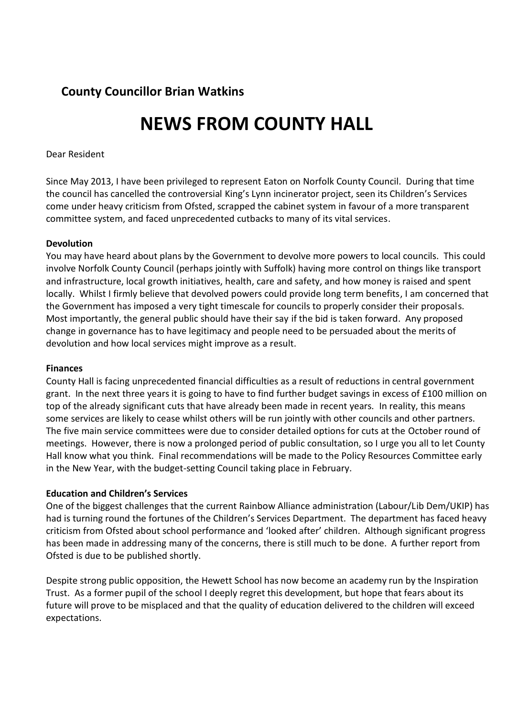# **County Councillor Brian Watkins**

# **NEWS FROM COUNTY HALL**

# Dear Resident

Since May 2013, I have been privileged to represent Eaton on Norfolk County Council. During that time the council has cancelled the controversial King's Lynn incinerator project, seen its Children's Services come under heavy criticism from Ofsted, scrapped the cabinet system in favour of a more transparent committee system, and faced unprecedented cutbacks to many of its vital services.

## **Devolution**

You may have heard about plans by the Government to devolve more powers to local councils. This could involve Norfolk County Council (perhaps jointly with Suffolk) having more control on things like transport and infrastructure, local growth initiatives, health, care and safety, and how money is raised and spent locally. Whilst I firmly believe that devolved powers could provide long term benefits, I am concerned that the Government has imposed a very tight timescale for councils to properly consider their proposals. Most importantly, the general public should have their say if the bid is taken forward. Any proposed change in governance has to have legitimacy and people need to be persuaded about the merits of devolution and how local services might improve as a result.

#### **Finances**

County Hall is facing unprecedented financial difficulties as a result of reductions in central government grant. In the next three years it is going to have to find further budget savings in excess of £100 million on top of the already significant cuts that have already been made in recent years. In reality, this means some services are likely to cease whilst others will be run jointly with other councils and other partners. The five main service committees were due to consider detailed options for cuts at the October round of meetings. However, there is now a prolonged period of public consultation, so I urge you all to let County Hall know what you think. Final recommendations will be made to the Policy Resources Committee early in the New Year, with the budget-setting Council taking place in February.

#### **Education and Children's Services**

One of the biggest challenges that the current Rainbow Alliance administration (Labour/Lib Dem/UKIP) has had is turning round the fortunes of the Children's Services Department. The department has faced heavy criticism from Ofsted about school performance and 'looked after' children. Although significant progress has been made in addressing many of the concerns, there is still much to be done. A further report from Ofsted is due to be published shortly.

Despite strong public opposition, the Hewett School has now become an academy run by the Inspiration Trust. As a former pupil of the school I deeply regret this development, but hope that fears about its future will prove to be misplaced and that the quality of education delivered to the children will exceed expectations.